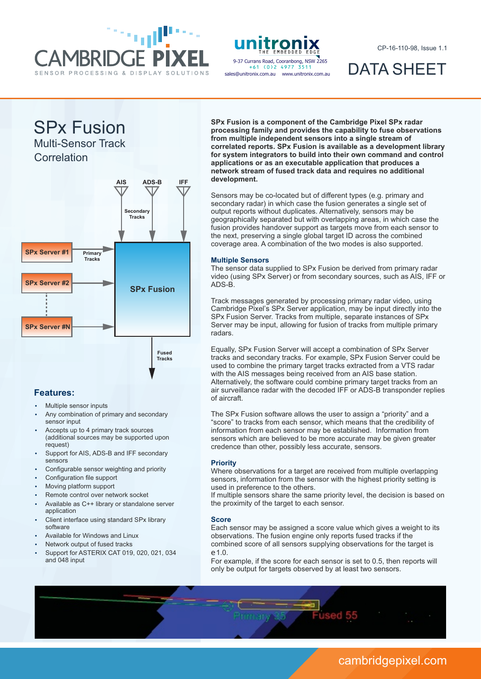



sales@unitronix.com.au www.unitronix.com.au +61 (0)2 4977 3511

CP-16-110-98, Issue 1.1

DATA SHEET

SPx Fusion

Multi-Sensor Track

**Correlation** 



### **Features:**

- Multiple sensor inputs
- Any combination of primary and secondary sensor input
- Accepts up to 4 primary track sources (additional sources may be supported upon request)
- Support for AIS, ADS-B and IFF secondary sensors
- Configurable sensor weighting and priority
- Configuration file support
- Moving platform support
- Remote control over network socket
- Available as C++ library or standalone server application
- Client interface using standard SPx library software
- Available for Windows and Linux
- Network output of fused tracks
- Support for ASTERIX CAT 019, 020, 021, 034 and 048 input

**SPx Fusion is a component of the Cambridge Pixel SPx radar processing family and provides the capability to fuse observations from multiple independent sensors into a single stream of correlated reports. SPx Fusion is available as a development library for system integrators to build into their own command and control applications or as an executable application that produces a network stream of fused track data and requires no additional development.**

Sensors may be co-located but of different types (e.g. primary and secondary radar) in which case the fusion generates a single set of output reports without duplicates. Alternatively, sensors may be geographically separated but with overlapping areas, in which case the fusion provides handover support as targets move from each sensor to the next, preserving a single global target ID across the combined coverage area. A combination of the two modes is also supported.

### **Multiple Sensors**

The sensor data supplied to SPx Fusion be derived from primary radar video (using SPx Server) or from secondary sources, such as AIS, IFF or ADS-B.

Track messages generated by processing primary radar video, using Cambridge Pixel's SPx Server application, may be input directly into the SPx Fusion Server. Tracks from multiple, separate instances of SPx Server may be input, allowing for fusion of tracks from multiple primary radars.

Equally, SPx Fusion Server will accept a combination of SPx Server tracks and secondary tracks. For example, SPx Fusion Server could be used to combine the primary target tracks extracted from a VTS radar with the AIS messages being received from an AIS base station. Alternatively, the software could combine primary target tracks from an air surveillance radar with the decoded IFF or ADS-B transponder replies of aircraft.

The SPx Fusion software allows the user to assign a "priority" and a "score" to tracks from each sensor, which means that the credibility of information from each sensor may be established. Information from sensors which are believed to be more accurate may be given greater credence than other, possibly less accurate, sensors.

### **Priority**

Where observations for a target are received from multiple overlapping sensors, information from the sensor with the highest priority setting is used in preference to the others.

If multiple sensors share the same priority level, the decision is based on the proximity of the target to each sensor.

### **Score**

firmary 35

Each sensor may be assigned a score value which gives a weight to its observations. The fusion engine only reports fused tracks if the combined score of all sensors supplying observations for the target is e 1.0.

For example, if the score for each sensor is set to 0.5, then reports will only be output for targets observed by at least two sensors.

Eused 55